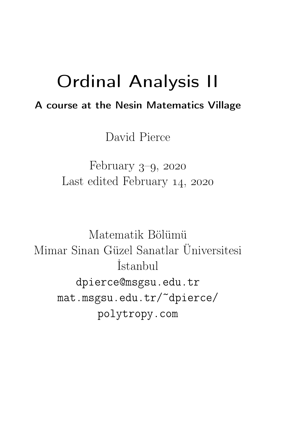### Ordinal Analysis II

### A course at the Nesin Matematics Village

David Pierce

February  $3-9$ , 2020 Last edited February 14, 2020

Matematik Bölümü Mimar Sinan Güzel Sanatlar Üniversitesi İstanbul dpierce@msgsu.edu.tr mat.msgsu.edu.tr/~dpierce/ polytropy.com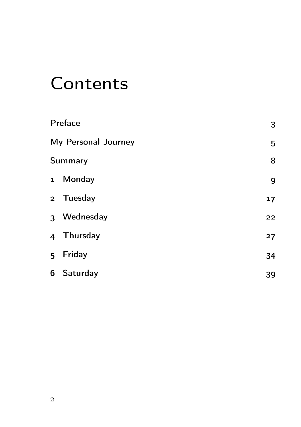## **Contents**

|                     | Preface        | 3  |
|---------------------|----------------|----|
| My Personal Journey |                | 5  |
|                     | <b>Summary</b> | 8  |
|                     | 1 Monday       | 9  |
|                     | 2 Tuesday      | 17 |
|                     | 3 Wednesday    | 22 |
|                     | 4 Thursday     | 27 |
|                     | 5 Friday       | 34 |
|                     | 6 Saturday     | 39 |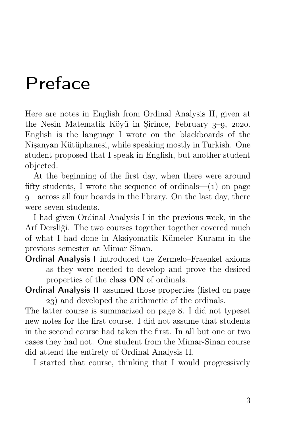## Preface

Here are notes in English from Ordinal Analysis II, given at the Nesin Matematik Köyü in Şirince, February  $3-9$ , 2020. English is the language I wrote on the blackboards of the Nişanyan Kütüphanesi, while speaking mostly in Turkish. One student proposed that I speak in English, but another student objected.

At the beginning of the first day, when there were around fifty students, I wrote the sequence of ordinals— $(1)$  on page —across all four boards in the library. On the last day, there were seven students.

I had given Ordinal Analysis I in the previous week, in the Arf Dersliği. The two courses together together covered much of what I had done in Aksiyomatik Kümeler Kuramı in the previous semester at Mimar Sinan.

Ordinal Analysis I introduced the Zermelo–Fraenkel axioms as they were needed to develop and prove the desired properties of the class ON of ordinals.

Ordinal Analysis II assumed those properties (listed on page ) and developed the arithmetic of the ordinals.

The latter course is summarized on page 8. I did not typeset new notes for the first course. I did not assume that students in the second course had taken the first. In all but one or two cases they had not. One student from the Mimar-Sinan course did attend the entirety of Ordinal Analysis II.

I started that course, thinking that I would progressively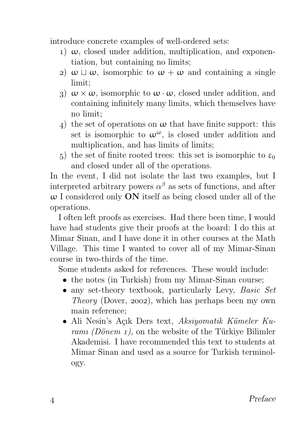introduce concrete examples of well-ordered sets:

- 1)  $\omega$ , closed under addition, multiplication, and exponentiation, but containing no limits;
- 2)  $ω ⊔ ω$ , isomorphic to  $ω + ω$  and containing a single limit;
- 3)  $\omega \times \omega$ , isomorphic to  $\omega \cdot \omega$ , closed under addition, and containing infinitely many limits, which themselves have no limit;
- 4) the set of operations on  $\omega$  that have finite support: this set is isomorphic to  $\omega^{\omega}$ , is closed under addition and multiplication, and has limits of limits;
- 5) the set of finite rooted trees: this set is isomorphic to  $\varepsilon_0$ and closed under all of the operations.

In the event, I did not isolate the last two examples, but I interpreted arbitrary powers  $\alpha^{\beta}$  as sets of functions, and after  $\omega$  I considered only **ON** itself as being closed under all of the operations.

I often left proofs as exercises. Had there been time, I would have had students give their proofs at the board: I do this at Mimar Sinan, and I have done it in other courses at the Math Village. This time I wanted to cover all of my Mimar-Sinan course in two-thirds of the time.

Some students asked for references. These would include:

- the notes (in Turkish) from my Mimar-Sinan course;
- any set-theory textbook, particularly Levy, Basic Set Theory (Dover, 2002), which has perhaps been my own main reference;
- Ali Nesin's Açık Ders text, Aksiyomatik Kümeler Kuramı (Dönem 1), on the website of the Türkiye Bilimler Akademisi. I have recommended this text to students at Mimar Sinan and used as a source for Turkish terminology.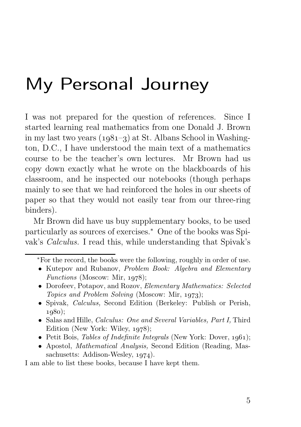## My Personal Journey

I was not prepared for the question of references. Since I started learning real mathematics from one Donald J. Brown in my last two years  $(1981-3)$  at St. Albans School in Washington, D.C., I have understood the main text of a mathematics course to be the teacher's own lectures. Mr Brown had us copy down exactly what he wrote on the blackboards of his classroom, and he inspected our notebooks (though perhaps mainly to see that we had reinforced the holes in our sheets of paper so that they would not easily tear from our three-ring binders).

Mr Brown did have us buy supplementary books, to be used particularly as sources of exercises.<sup>∗</sup> One of the books was Spivak's Calculus. I read this, while understanding that Spivak's

- Kutepov and Rubanov, Problem Book: Algebra and Elementary Functions (Moscow: Mir,  $1978$ );
- Dorofeev, Potapov, and Rozov, Elementary Mathematics: Selected Topics and Problem Solving (Moscow: Mir, 1973);
- Spivak, Calculus, Second Edition (Berkeley: Publish or Perish,  $1080$ :
- Salas and Hille, Calculus: One and Several Variables, Part I, Third Edition (New York: Wiley,  $1978$ );
- Petit Bois, Tables of Indefinite Integrals (New York: Dover,  $1961$ );
- Apostol, *Mathematical Analysis*, Second Edition (Reading, Massachusetts: Addison-Wesley,  $1974$ .

I am able to list these books, because I have kept them.

<sup>∗</sup>For the record, the books were the following, roughly in order of use.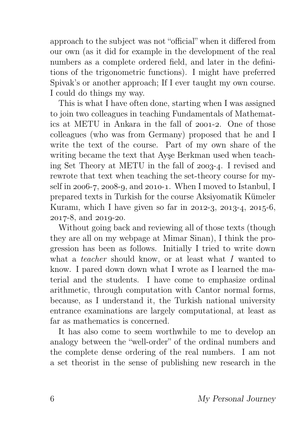approach to the subject was not "official" when it differed from our own (as it did for example in the development of the real numbers as a complete ordered field, and later in the definitions of the trigonometric functions). I might have preferred Spivak's or another approach; If I ever taught my own course. I could do things my way.

This is what I have often done, starting when I was assigned to join two colleagues in teaching Fundamentals of Mathematics at METU in Ankara in the fall of  $2001-2$ . One of those colleagues (who was from Germany) proposed that he and I write the text of the course. Part of my own share of the writing became the text that Ayşe Berkman used when teaching Set Theory at METU in the fall of  $2003-4$ . I revised and rewrote that text when teaching the set-theory course for myself in  $2006-7$ ,  $2008-9$ , and  $2010-1$ . When I moved to Istanbul, I prepared texts in Turkish for the course Aksiyomatik Kümeler Kuramı, which I have given so far in  $2012-3$ ,  $2013-4$ ,  $2015-6$ ,  $2017 - 8$ , and  $2019 - 20$ .

Without going back and reviewing all of those texts (though they are all on my webpage at Mimar Sinan), I think the progression has been as follows. Initially I tried to write down what a *teacher* should know, or at least what I wanted to know. I pared down down what I wrote as I learned the material and the students. I have come to emphasize ordinal arithmetic, through computation with Cantor normal forms, because, as I understand it, the Turkish national university entrance examinations are largely computational, at least as far as mathematics is concerned.

It has also come to seem worthwhile to me to develop an analogy between the "well-order" of the ordinal numbers and the complete dense ordering of the real numbers. I am not a set theorist in the sense of publishing new research in the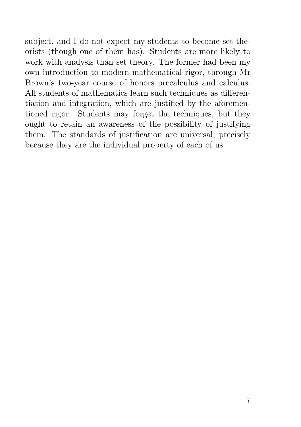subject, and I do not expect my students to become set theorists (though one of them has). Students are more likely to work with analysis than set theory. The former had been my own introduction to modern mathematical rigor, through Mr Brown's two-year course of honors precalculus and calculus. All students of mathematics learn such techniques as differentiation and integration, which are justified by the aforementioned rigor. Students may forget the techniques, but they ought to retain an awareness of the possibility of justifying them. The standards of justification are universal, precisely because they are the individual property of each of us.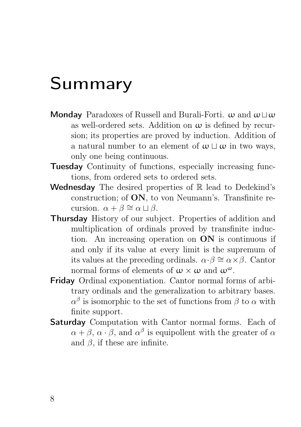### Summary

- Monday Paradoxes of Russell and Burali-Forti.  $\omega$  and  $\omega\Box\omega$ as well-ordered sets. Addition on  $\omega$  is defined by recursion; its properties are proved by induction. Addition of a natural number to an element of  $\omega \sqcup \omega$  in two ways, only one being continuous.
- Tuesday Continuity of functions, especially increasing functions, from ordered sets to ordered sets.
- Wednesday The desired properties of  $\mathbb R$  lead to Dedekind's construction; of ON, to von Neumann's. Transfinite recursion.  $\alpha + \beta \cong \alpha \sqcup \beta$ .
- Thursday History of our subject. Properties of addition and multiplication of ordinals proved by transfinite induction. An increasing operation on  $ON$  is continuous if and only if its value at every limit is the supremum of its values at the preceding ordinals.  $\alpha \cdot \beta \cong \alpha \times \beta$ . Cantor normal forms of elements of  $\omega \times \omega$  and  $\omega^{\omega}$ .
- Friday Ordinal exponentiation. Cantor normal forms of arbitrary ordinals and the generalization to arbitrary bases.  $\alpha^{\beta}$  is isomorphic to the set of functions from  $\beta$  to  $\alpha$  with finite support.
- Saturday Computation with Cantor normal forms. Each of  $\alpha + \beta$ ,  $\alpha \cdot \beta$ , and  $\alpha^{\beta}$  is equipollent with the greater of  $\alpha$ and  $\beta$ , if these are infinite.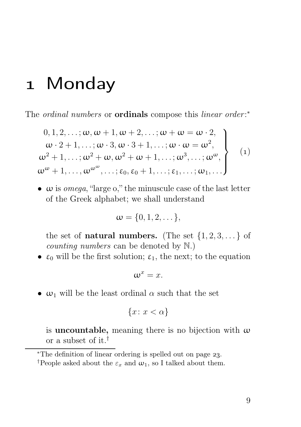### 1 Monday

The ordinal numbers or **ordinals** compose this linear order:\*

$$
0, 1, 2, \dots; \omega, \omega + 1, \omega + 2, \dots; \omega + \omega = \omega \cdot 2,
$$
  
\n
$$
\omega \cdot 2 + 1, \dots; \omega \cdot 3, \omega \cdot 3 + 1, \dots; \omega \cdot \omega = \omega^2,
$$
  
\n
$$
\omega^2 + 1, \dots; \omega^2 + \omega, \omega^2 + \omega + 1, \dots; \omega^3, \dots; \omega^{\omega},
$$
  
\n
$$
\omega^{\omega} + 1, \dots, \omega^{\omega^{\omega}}, \dots; \epsilon_0, \epsilon_0 + 1, \dots; \epsilon_1, \dots; \omega_1, \dots
$$
\n(1)

•  $\omega$  is *omega*, "large  $\omega$ ," the minuscule case of the last letter of the Greek alphabet; we shall understand

$$
\omega = \{0, 1, 2, \dots\},\
$$

the set of **natural numbers.** (The set  $\{1, 2, 3, \ldots\}$  of counting numbers can be denoted by N.)

•  $\varepsilon_0$  will be the first solution;  $\varepsilon_1$ , the next; to the equation

$$
\omega^x = x.
$$

•  $\omega_1$  will be the least ordinal  $\alpha$  such that the set

$$
\{x \colon x < \alpha\}
$$

is **uncountable**, meaning there is no bijection with  $\omega$ or a subset of it.†

<sup>∗</sup>The definition of linear ordering is spelled out on page .

<sup>&</sup>lt;sup>†</sup>People asked about the  $\varepsilon_x$  and  $\omega_1$ , so I talked about them.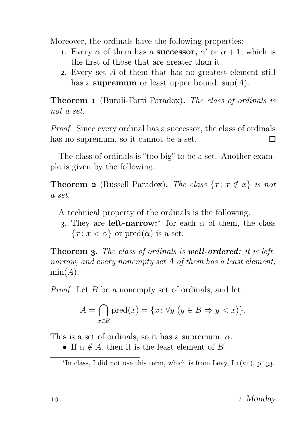Moreover, the ordinals have the following properties:

- 1. Every  $\alpha$  of them has a **successor**,  $\alpha'$  or  $\alpha + 1$ , which is the first of those that are greater than it.
- . Every set A of them that has no greatest element still has a supremum or least upper bound,  $\text{sup}(A)$ .

Theorem 1 (Burali-Forti Paradox). The class of ordinals is not a set.

Proof. Since every ordinal has a successor, the class of ordinals has no supremum, so it cannot be a set. П

The class of ordinals is "too big" to be a set. Another example is given by the following.

**Theorem 2** (Russell Paradox). The class  $\{x: x \notin x\}$  is not a set.

A technical property of the ordinals is the following.

3. They are **left-narrow:**\* for each  $\alpha$  of them, the class  ${x : x < \alpha}$  or pred $(\alpha)$  is a set.

**Theorem 3.** The class of ordinals is well-ordered: it is leftnarrow, and every nonempty set A of them has a least element,  $min(A)$ .

*Proof.* Let B be a nonempty set of ordinals, and let

$$
A = \bigcap_{x \in B} \text{pred}(x) = \{x \colon \forall y \ (y \in B \Rightarrow y < x)\}.
$$

This is a set of ordinals, so it has a supremum,  $\alpha$ .

• If  $\alpha \notin A$ , then it is the least element of B.

 $*$ In class, I did not use this term, which is from Levy, I.1(vii), p. 33.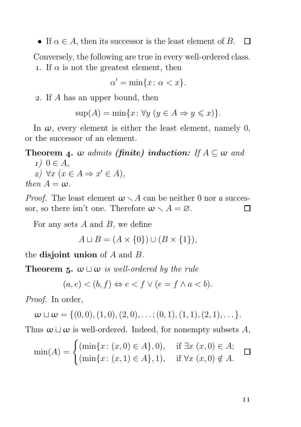• If  $\alpha \in A$ , then its successor is the least element of B.  $\Box$ 

Conversely, the following are true in every well-ordered class. 1. If  $\alpha$  is not the greatest element, then

$$
\alpha' = \min\{x \colon \alpha < x\}.
$$

. If A has an upper bound, then

$$
\sup(A) = \min\{x \colon \forall y \ (y \in A \Rightarrow y \leqslant x)\}.
$$

In  $\omega$ , every element is either the least element, namely 0, or the successor of an element.

#### **Theorem 4.**  $\omega$  admits (finite) induction: If  $A \subseteq \omega$  and

 $1)$  0  $\in$  A, 2) ∀x ( $x \in A \Rightarrow x' \in A$ ), then  $A = \omega$ .

*Proof.* The least element  $\omega \setminus A$  can be neither 0 nor a successor, so there isn't one. Therefore  $\omega \setminus A = \varnothing$ . П

For any sets  $A$  and  $B$ , we define

$$
A \sqcup B = (A \times \{0\}) \cup (B \times \{1\}),
$$

the disjoint union of  $A$  and  $B$ .

**Theorem 5.**  $\omega \sqcup \omega$  is well-ordered by the rule

$$
(a, e) < (b, f) \Leftrightarrow e < f \lor (e = f \land a < b).
$$

Proof. In order,

$$
\omega \sqcup \omega = \{(0,0), (1,0), (2,0), \ldots; (0,1), (1,1), (2,1), \ldots\}.
$$

Thus  $\omega \sqcup \omega$  is well-ordered. Indeed, for nonempty subsets A,

$$
\min(A) = \begin{cases} (\min\{x \colon (x,0) \in A\}, 0), & \text{if } \exists x \ (x,0) \in A; \\ (\min\{x \colon (x,1) \in A\}, 1), & \text{if } \forall x \ (x,0) \notin A. \end{cases} \blacksquare
$$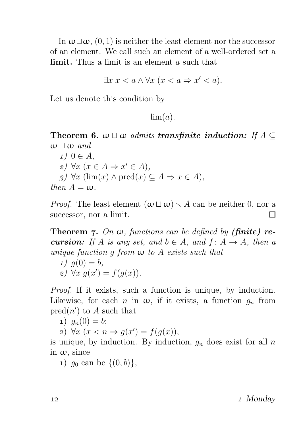In  $\omega \sqcup \omega$ ,  $(0, 1)$  is neither the least element nor the successor of an element. We call such an element of a well-ordered set a limit. Thus a limit is an element a such that

$$
\exists x \ x < a \land \forall x \ (x < a \Rightarrow x' < a).
$$

Let us denote this condition by

 $\lim(a)$ .

**Theorem 6.**  $\omega \sqcup \omega$  admits **transfinite induction:** If  $A \subseteq$  $\omega \sqcup \omega$  and

 $1)$  0  $\in$  A, 2) ∀x ( $x \in A \Rightarrow x' \in A$ ),  $g)$  ∀x (lim(x) ∧ pred(x) ⊂ A  $\Rightarrow$  x ∈ A), then  $A = \omega$ .

*Proof.* The least element  $(\omega \sqcup \omega) \setminus A$  can be neither 0, nor a successor, nor a limit.  $\Box$ 

**Theorem 7.** On  $\omega$ , functions can be defined by (finite) re**cursion:** If A is any set, and  $b \in A$ , and  $f: A \rightarrow A$ , then a unique function q from  $\omega$  to A exists such that

1) 
$$
g(0) = b
$$
,  
2)  $\forall x \ g(x') = f(g(x))$ .

Proof. If it exists, such a function is unique, by induction. Likewise, for each n in  $\omega$ , if it exists, a function  $g_n$  from  $\text{pred}(n')$  to A such that

1)  $q_n(0) = b;$ 

2)  $\forall x \ (x < n \Rightarrow g(x') = f(g(x)),$ 

is unique, by induction. By induction,  $g_n$  does exist for all n in  $\omega$ , since

1)  $g_0$  can be  $\{(0, b)\},$ 

12 and 1 Monday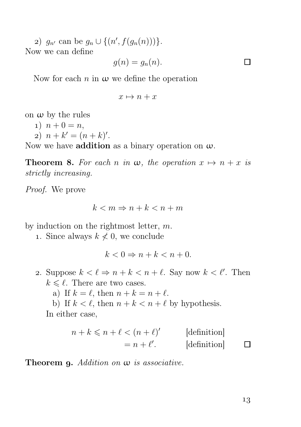2)  $g_{n'}$  can be  $g_n \cup \{(n', f(g_n(n)))\}$ . Now we can define

$$
g(n) = g_n(n).
$$

 $\Box$ 

Now for each  $n$  in  $\omega$  we define the operation

$$
x \mapsto n + x
$$

on  $\omega$  by the rules

- 1)  $n + 0 = n$ ,
- 2)  $n + k' = (n + k)'$ .

Now we have **addition** as a binary operation on  $\omega$ .

**Theorem 8.** For each n in  $\omega$ , the operation  $x \mapsto n + x$  is strictly increasing.

Proof. We prove

$$
k < m \Rightarrow n + k < n + m
$$

by induction on the rightmost letter, m.

1. Since always  $k \nless 0$ , we conclude

$$
k < 0 \Rightarrow n + k < n + 0.
$$

- 2. Suppose  $k < \ell \Rightarrow n + k < n + \ell$ . Say now  $k < \ell'$ . Then  $k \leq \ell$ . There are two cases.
	- a) If  $k = \ell$ , then  $n + k = n + \ell$ .
	- b) If  $k < \ell$ , then  $n + k < n + \ell$  by hypothesis. In either case,

$$
n + k \le n + \ell < (n + \ell)'
$$
 [definition]  
=  $n + \ell'$ . [definition] \square

**Theorem 9.** Addition on  $\omega$  is associative.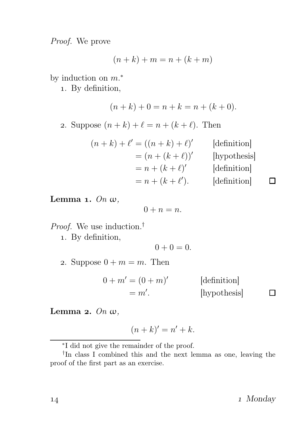Proof. We prove

$$
(n+k)+m = n + (k+m)
$$

by induction on  $m.*$ 

. By definition,

 $(n+k) + 0 = n + k = n + (k+0).$ 2. Suppose  $(n + k) + \ell = n + (k + \ell)$ . Then

$$
(n+k) + \ell' = ((n+k) + \ell)'
$$
 [definition]  
=  $(n + (k + \ell))'$  [hypothesis]  
=  $n + (k + \ell)'$  [definition]  
=  $n + (k + \ell')$ . [definition]

Lemma 1.  $On \omega$ ,

$$
0 + n = n.
$$

Proof. We use induction.<sup>†</sup>

. By definition,

 $0 + 0 = 0$ .

2. Suppose  $0 + m = m$ . Then

$$
0 + m' = (0 + m)'
$$
 [definition]  
= m'. [hypothesis]

Lemma 2.  $On \omega$ ,

$$
(n+k)' = n' + k.
$$

14 14 Monday

 $\Box$ 

<sup>∗</sup> I did not give the remainder of the proof.

<sup>†</sup> In class I combined this and the next lemma as one, leaving the proof of the first part as an exercise.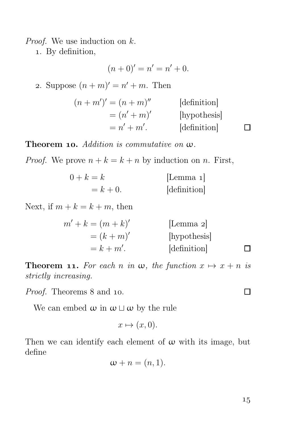*Proof.* We use induction on  $k$ .

. By definition,

$$
(n+0)' = n' = n' + 0.
$$

2. Suppose  $(n+m)' = n' + m$ . Then

| $(n+m')'=(n+m)''$ | definition |
|-------------------|------------|
| $= (n' + m)'$     | hypothesis |
| $= n' + m'.$      | definition |

**Theorem 10.** Addition is commutative on  $\omega$ .

*Proof.* We prove  $n + k = k + n$  by induction on n. First,

| $0+k=k$    | [Lemma $1$ ] |
|------------|--------------|
| $= k + 0.$ | [definition] |

Next, if  $m + k = k + m$ , then

$$
m' + k = (m + k)'
$$
 [Lemma 2]  
=  $(k + m)'$  [hypothesis]  
=  $k + m'$ . [definition]

**Theorem 11.** For each n in  $\omega$ , the function  $x \mapsto x + n$  is strictly increasing.

*Proof.* Theorems 8 and 10.

We can embed  $\omega$  in  $\omega \sqcup \omega$  by the rule

 $x \mapsto (x, 0).$ 

Then we can identify each element of  $\omega$  with its image, but define

$$
\omega + n = (n, 1).
$$

П

 $\Box$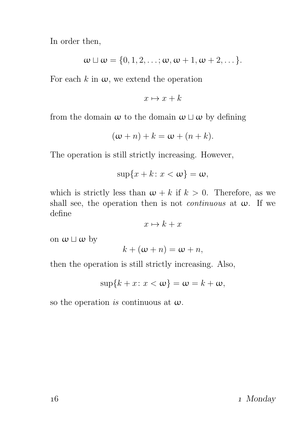In order then,

$$
\omega \sqcup \omega = \{0, 1, 2, \ldots; \omega, \omega + 1, \omega + 2, \ldots\}.
$$

For each k in  $\omega$ , we extend the operation

$$
x \mapsto x + k
$$

from the domain  $\omega$  to the domain  $\omega \sqcup \omega$  by defining

$$
(\omega + n) + k = \omega + (n + k).
$$

The operation is still strictly increasing. However,

$$
\sup\{x+k\colon x<\omega\}=\omega,
$$

which is strictly less than  $\omega + k$  if  $k > 0$ . Therefore, as we shall see, the operation then is not *continuous* at  $\omega$ . If we define

$$
x \mapsto k + x
$$

on  $\omega \sqcup \omega$  by

$$
k + (\omega + n) = \omega + n,
$$

then the operation is still strictly increasing. Also,

$$
\sup\{k+x\colon x<\omega\}=\omega=k+\omega,
$$

so the operation is continuous at  $\omega$ .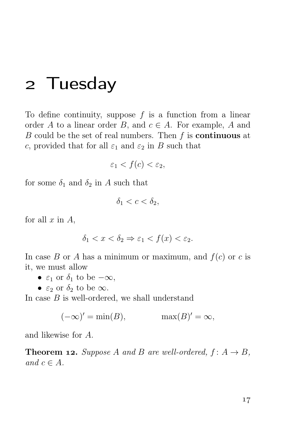### Tuesday

To define continuity, suppose  $f$  is a function from a linear order A to a linear order B, and  $c \in A$ . For example, A and B could be the set of real numbers. Then  $f$  is **continuous** at c, provided that for all  $\varepsilon_1$  and  $\varepsilon_2$  in B such that

$$
\varepsilon_1 < f(c) < \varepsilon_2,
$$

for some  $\delta_1$  and  $\delta_2$  in A such that

$$
\delta_1 < c < \delta_2
$$

for all  $x$  in  $A$ ,

$$
\delta_1 < x < \delta_2 \Rightarrow \varepsilon_1 < f(x) < \varepsilon_2.
$$

In case B or A has a minimum or maximum, and  $f(c)$  or c is it, we must allow

- $\varepsilon_1$  or  $\delta_1$  to be  $-\infty$ ,
- $\varepsilon_2$  or  $\delta_2$  to be  $\infty$ .

In case  $B$  is well-ordered, we shall understand

$$
(-\infty)' = \min(B), \qquad \max(B)' = \infty,
$$

and likewise for A.

**Theorem 12.** Suppose A and B are well-ordered,  $f: A \rightarrow B$ , and  $c \in A$ .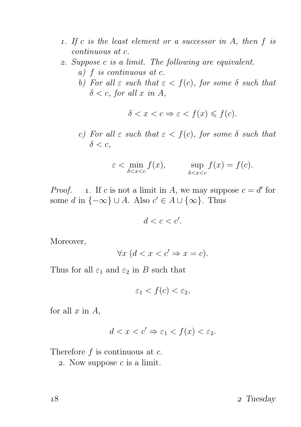- 1. If c is the least element or a successor in  $A$ , then  $f$  is continuous at c.
- . Suppose c is a limit. The following are equivalent.
	- a) f is continuous at c.
	- b) For all  $\varepsilon$  such that  $\varepsilon < f(c)$ , for some  $\delta$  such that  $\delta < c$ , for all x in A,

$$
\delta < x < c \Rightarrow \varepsilon < f(x) \leqslant f(c).
$$

c) For all  $\varepsilon$  such that  $\varepsilon < f(c)$ , for some  $\delta$  such that  $\delta < c$ .

$$
\varepsilon < \min_{\delta < x < c} f(x), \qquad \sup_{\delta < x < c} f(x) = f(c).
$$

*Proof.* 1. If c is not a limit in A, we may suppose  $c = d'$  for some d in  $\{-\infty\} \cup A$ . Also  $c' \in A \cup \{\infty\}$ . Thus

$$
d
$$

Moreover,

$$
\forall x \ (d < x < c' \Rightarrow x = c).
$$

Thus for all  $\varepsilon_1$  and  $\varepsilon_2$  in B such that

$$
\varepsilon_1 < f(c) < \varepsilon_2
$$

for all  $x$  in  $A$ ,

$$
d < x < c' \Rightarrow \varepsilon_1 < f(x) < \varepsilon_2.
$$

Therefore  $f$  is continuous at  $c$ .

2. Now suppose  $c$  is a limit.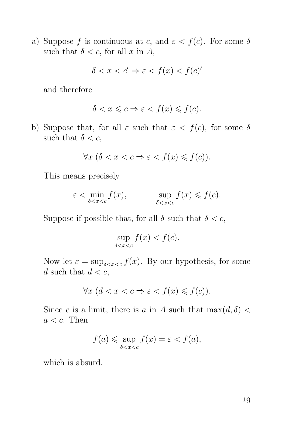a) Suppose f is continuous at c, and  $\varepsilon < f(c)$ . For some  $\delta$ such that  $\delta < c$ , for all x in A,

$$
\delta < x < c' \Rightarrow \varepsilon < f(x) < f(c)'
$$

and therefore

$$
\delta < x \leqslant c \Rightarrow \varepsilon < f(x) \leqslant f(c).
$$

b) Suppose that, for all  $\varepsilon$  such that  $\varepsilon < f(c)$ , for some  $\delta$ such that  $\delta < c$ ,

$$
\forall x \ (\delta < x < c \Rightarrow \varepsilon < f(x) \leqslant f(c)).
$$

This means precisely

$$
\varepsilon < \min_{\delta < x < c} f(x), \qquad \sup_{\delta < x < c} f(x) \leqslant f(c).
$$

Suppose if possible that, for all  $\delta$  such that  $\delta < c$ ,

$$
\sup_{\delta < x < c} f(x) < f(c).
$$

Now let  $\varepsilon = \sup_{\delta < x < c} f(x)$ . By our hypothesis, for some d such that  $d < c$ ,

$$
\forall x \ (d < x < c \Rightarrow \varepsilon < f(x) \leqslant f(c)).
$$

Since c is a limit, there is a in A such that  $\max(d, \delta)$  $a < c$ . Then

$$
f(a) \leqslant \sup_{\delta < x < c} f(x) = \varepsilon < f(a),
$$

which is absurd.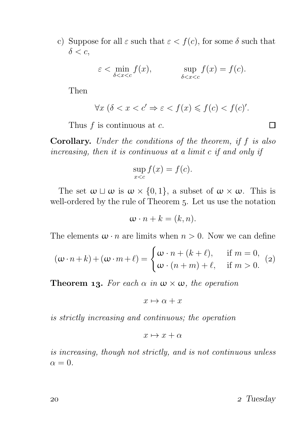c) Suppose for all  $\varepsilon$  such that  $\varepsilon < f(c)$ , for some  $\delta$  such that  $\delta < c$ ,

$$
\varepsilon < \min_{\delta < x < c} f(x), \qquad \sup_{\delta < x < c} f(x) = f(c).
$$

Then

$$
\forall x \ (\delta < x < c' \Rightarrow \varepsilon < f(x) \leqslant f(c) < f(c)'
$$

Thus  $f$  is continuous at  $c$ .

Corollary. Under the conditions of the theorem, if f is also increasing, then it is continuous at a limit c if and only if

$$
\sup_{x < c} f(x) = f(c).
$$

The set  $\omega \sqcup \omega$  is  $\omega \times \{0,1\}$ , a subset of  $\omega \times \omega$ . This is well-ordered by the rule of Theorem 5. Let us use the notation

$$
\omega \cdot n + k = (k, n).
$$

The elements  $\omega \cdot n$  are limits when  $n > 0$ . Now we can define

$$
(\omega \cdot n + k) + (\omega \cdot m + \ell) = \begin{cases} \omega \cdot n + (k + \ell), & \text{if } m = 0, \\ \omega \cdot (n + m) + \ell, & \text{if } m > 0. \end{cases}
$$
 (2)

**Theorem 13.** For each  $\alpha$  in  $\omega \times \omega$ , the operation

$$
x \mapsto \alpha + x
$$

is strictly increasing and continuous; the operation

$$
x \mapsto x + \alpha
$$

is increasing, though not strictly, and is not continuous unless  $\alpha = 0$ .

Tuesday

 $\Box$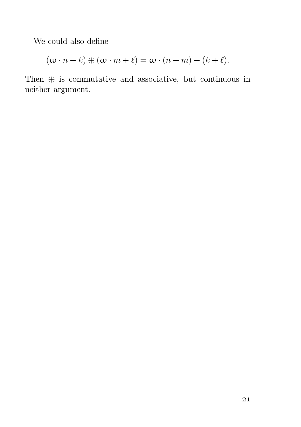We could also define

$$
(\omega \cdot n + k) \oplus (\omega \cdot m + \ell) = \omega \cdot (n + m) + (k + \ell).
$$

Then ⊕ is commutative and associative, but continuous in neither argument.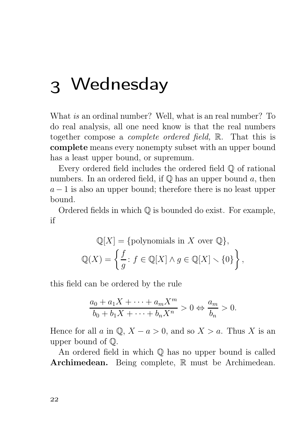## Wednesday

What is an ordinal number? Well, what is an real number? To do real analysis, all one need know is that the real numbers together compose a complete ordered field, R. That this is complete means every nonempty subset with an upper bound has a least upper bound, or supremum.

Every ordered field includes the ordered field Q of rational numbers. In an ordered field, if  $\mathbb Q$  has an upper bound a, then  $a - 1$  is also an upper bound; therefore there is no least upper bound.

Ordered fields in which  $\mathbb Q$  is bounded do exist. For example, if

$$
\mathbb{Q}[X] = \{\text{polynomials in } X \text{ over } \mathbb{Q}\},\
$$

$$
\mathbb{Q}(X) = \left\{\frac{f}{g} : f \in \mathbb{Q}[X] \wedge g \in \mathbb{Q}[X] \smallsetminus \{0\}\right\},\
$$

this field can be ordered by the rule

$$
\frac{a_0 + a_1X + \dots + a_mX^m}{b_0 + b_1X + \dots + b_nX^n} > 0 \Leftrightarrow \frac{a_m}{b_n} > 0.
$$

Hence for all a in  $\mathbb{Q}, X - a > 0$ , and so  $X > a$ . Thus X is an upper bound of Q.

An ordered field in which Q has no upper bound is called Archimedean. Being complete, R must be Archimedean.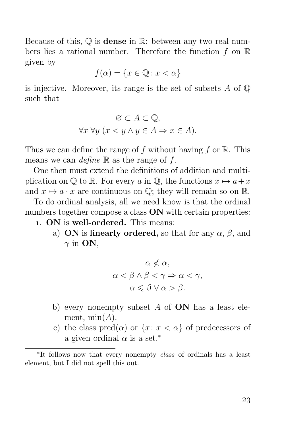Because of this,  $\mathbb Q$  is **dense** in  $\mathbb R$ : between any two real numbers lies a rational number. Therefore the function  $f$  on  $\mathbb R$ given by

$$
f(\alpha) = \{ x \in \mathbb{Q} \colon x < \alpha \}
$$

is injective. Moreover, its range is the set of subsets  $A$  of  $\mathbb Q$ such that

$$
\varnothing \subset A \subset \mathbb{Q},
$$
  

$$
\forall x \forall y \ (x < y \land y \in A \Rightarrow x \in A).
$$

Thus we can define the range of f without having f or  $\mathbb R$ . This means we can define  $\mathbb R$  as the range of f.

One then must extend the definitions of addition and multiplication on  $\mathbb{O}$  to  $\mathbb{R}$ . For every a in  $\mathbb{O}$ , the functions  $x \mapsto a+x$ and  $x \mapsto a \cdot x$  are continuous on  $\mathbb{Q}$ ; they will remain so on R.

To do ordinal analysis, all we need know is that the ordinal numbers together compose a class **ON** with certain properties:

- . ON is well-ordered. This means:
	- a) ON is linearly ordered, so that for any  $\alpha$ ,  $\beta$ , and  $\gamma$  in **ON**,

$$
\alpha \nless \alpha,
$$
  
\n
$$
\alpha < \beta \land \beta < \gamma \Rightarrow \alpha < \gamma,
$$
  
\n
$$
\alpha \leq \beta \lor \alpha > \beta.
$$

- b) every nonempty subset  $A$  of  $ON$  has a least element,  $min(A)$ .
- c) the class  $\text{pred}(\alpha)$  or  $\{x: x < \alpha\}$  of predecessors of a given ordinal  $\alpha$  is a set.<sup>\*</sup>

<sup>∗</sup> It follows now that every nonempty class of ordinals has a least element, but I did not spell this out.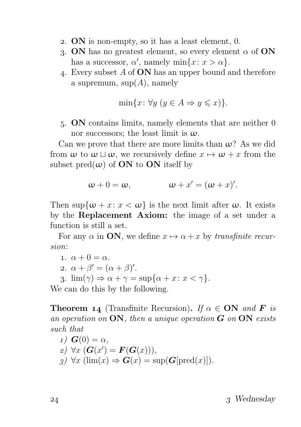- . ON is non-empty, so it has a least element, 0.
- 3. ON has no greatest element, so every element  $\alpha$  of ON has a successor,  $\alpha'$ , namely min $\{x: x > \alpha\}.$
- . Every subset A of ON has an upper bound and therefore a supremum,  $\text{sup}(A)$ , namely

$$
\min\{x \colon \forall y \ (y \in A \Rightarrow y \leqslant x)\}.
$$

. ON contains limits, namely elements that are neither 0 nor successors; the least limit is  $\omega$ .

Can we prove that there are more limits than  $\omega$ ? As we did from  $\omega$  to  $\omega \sqcup \omega$ , we recursively define  $x \mapsto \omega + x$  from the subset pred $(\omega)$  of **ON** to **ON** itself by

$$
\omega + 0 = \omega, \qquad \qquad \omega + x' = (\omega + x)'.
$$

Then sup $\{\omega + x : x < \omega\}$  is the next limit after  $\omega$ . It exists by the Replacement Axiom: the image of a set under a function is still a set.

For any  $\alpha$  in **ON**, we define  $x \mapsto \alpha + x$  by transfinite recursion:

$$
1. \ \alpha + 0 = \alpha.
$$

2.  $\alpha + \beta' = (\alpha + \beta)'$ .

3.  $\lim(\gamma) \Rightarrow \alpha + \gamma = \sup\{\alpha + x : x < \gamma\}.$ 

We can do this by the following.

**Theorem 14** (Transfinite Recursion). If  $\alpha \in \mathbf{ON}$  and **F** is an operation on  $ON$ , then a unique operation  $G$  on  $ON$  exists such that

 $I)$   $G(0) = \alpha$ ,  $\mathcal{L}(\mathbf{G}(x') = \mathbf{F}(\mathbf{G}(x))),$  $g)$   $\forall x$  (lim(x)  $\Rightarrow$   $G(x) = \sup(G[\text{pred}(x)]).$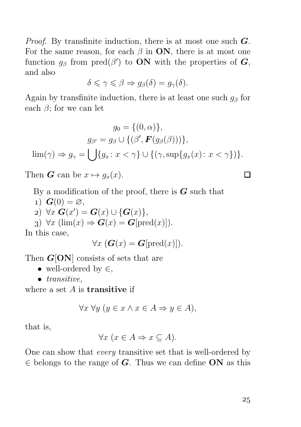*Proof.* By transfinite induction, there is at most one such  $G$ . For the same reason, for each  $\beta$  in ON, there is at most one function  $g_{\beta}$  from pred( $\beta'$ ) to **ON** with the properties of **G**, and also

$$
\delta \leqslant \gamma \leqslant \beta \Rightarrow g_{\beta}(\delta) = g_{\gamma}(\delta).
$$

Again by transfinite induction, there is at least one such  $g_\beta$  for each  $\beta$ ; for we can let

$$
g_0 = \{(0, \alpha)\},
$$

$$
g_{\beta'} = g_{\beta} \cup \{(\beta', \mathbf{F}(g_{\beta}(\beta)))\},
$$

$$
\lim(\gamma) \Rightarrow g_{\gamma} = \bigcup \{g_x \colon x < \gamma\} \cup \{(\gamma, \sup\{g_x(x) \colon x < \gamma\})\}.
$$

Then **G** can be  $x \mapsto q_x(x)$ .

By a modification of the proof, there is  $G$  such that

1)  $\mathbf{G}(0) = \varnothing$ ,  $\Rightarrow$   $\forall x \mathbf{G}(x') = \mathbf{G}(x) \cup \{\mathbf{G}(x)\},\$ 3)  $\forall x \, (\lim(x) \Rightarrow G(x) = G[\text{pred}(x)]).$ 

In this case,

$$
\forall x \; (\mathbf{G}(x) = \mathbf{G}[\mathrm{pred}(x)]).
$$

Then  $G[ON]$  consists of sets that are

- well-ordered by  $\in$ ,
- *transitive*,

where a set  $A$  is **transitive** if

$$
\forall x \,\forall y \,(y \in x \land x \in A \Rightarrow y \in A),
$$

that is,

$$
\forall x \ (x \in A \Rightarrow x \subseteq A).
$$

One can show that every transitive set that is well-ordered by  $\in$  belongs to the range of G. Thus we can define ON as this

 $\Box$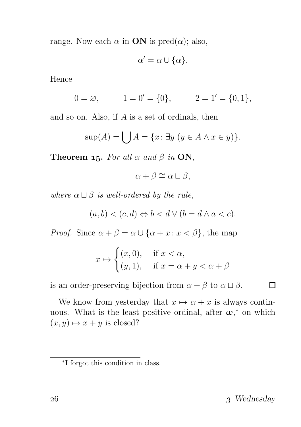range. Now each  $\alpha$  in **ON** is pred $(\alpha)$ ; also,

$$
\alpha' = \alpha \cup \{\alpha\}.
$$

Hence

$$
0 = \emptyset, \qquad 1 = 0' = \{0\}, \qquad 2 = 1' = \{0, 1\},
$$

and so on. Also, if A is a set of ordinals, then

$$
\sup(A) = \bigcup A = \{x \colon \exists y \ (y \in A \land x \in y)\}.
$$

Theorem 15. For all  $\alpha$  and  $\beta$  in ON,

 $\alpha + \beta \cong \alpha \sqcup \beta$ .

where  $\alpha \sqcup \beta$  is well-ordered by the rule,

$$
(a,b) < (c,d) \Leftrightarrow b < d \lor (b=d \land a < c).
$$

*Proof.* Since  $\alpha + \beta = \alpha \cup {\alpha + x : x < \beta}$ , the map

$$
x \mapsto \begin{cases} (x,0), & \text{if } x < \alpha, \\ (y,1), & \text{if } x = \alpha + y < \alpha + \beta \end{cases}
$$

is an order-preserving bijection from  $\alpha + \beta$  to  $\alpha \sqcup \beta$ .

We know from yesterday that  $x \mapsto \alpha + x$  is always continuous. What is the least positive ordinal, after  $\omega$ ,\* on which  $(x, y) \mapsto x + y$  is closed?

 $\Box$ 

<sup>∗</sup> I forgot this condition in class.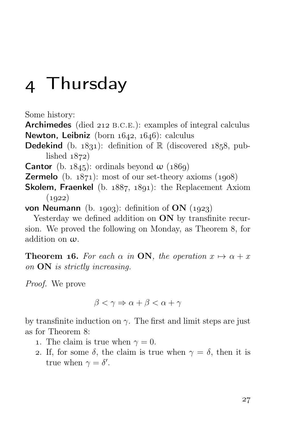### Thursday

Some history:

Archimedes (died 212 B.C.E.): examples of integral calculus Newton, Leibniz (born  $1642$ ,  $1646$ ): calculus

**Dedekind** (b. 1831): definition of  $\mathbb{R}$  (discovered 1858, published  $1872$ 

**Cantor** (b. 1845): ordinals beyond  $\omega$  (1869)

- **Zermelo** (b.  $1871$ ): most of our set-theory axioms  $(1908)$
- **Skolem, Fraenkel** (b.  $1887, 1891$ ): the Replacement Axiom  $(1922)$

von Neumann (b. 1903): definition of ON  $(1923)$ 

Yesterday we defined addition on **ON** by transfinite recursion. We proved the following on Monday, as Theorem 8, for addition on ω.

**Theorem 16.** For each  $\alpha$  in **ON**, the operation  $x \mapsto \alpha + x$ on ON is strictly increasing.

Proof. We prove

$$
\beta < \gamma \Rightarrow \alpha + \beta < \alpha + \gamma
$$

by transfinite induction on  $\gamma$ . The first and limit steps are just as for Theorem 8:

- 1. The claim is true when  $\gamma = 0$ .
- 2. If, for some  $\delta$ , the claim is true when  $\gamma = \delta$ , then it is true when  $\gamma = \delta'$ .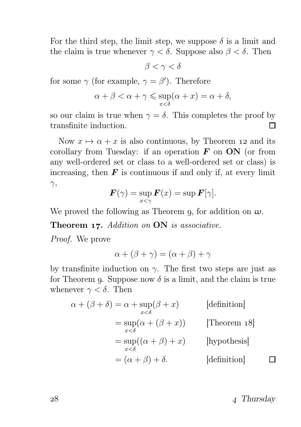For the third step, the limit step, we suppose  $\delta$  is a limit and the claim is true whenever  $\gamma < \delta$ . Suppose also  $\beta < \delta$ . Then

 $\beta < \gamma < \delta$ 

for some  $\gamma$  (for example,  $\gamma = \beta'$ ). Therefore

$$
\alpha + \beta < \alpha + \gamma \leqslant \sup_{x < \delta} (\alpha + x) = \alpha + \delta,
$$

so our claim is true when  $\gamma = \delta$ . This completes the proof by transfinite induction. П

Now  $x \mapsto \alpha + x$  is also continuous, by Theorem 12 and its corollary from Tuesday: if an operation  $\bf{F}$  on  $\bf{ON}$  (or from any well-ordered set or class to a well-ordered set or class) is increasing, then  $\boldsymbol{F}$  is continuous if and only if, at every limit  $\gamma,$ 

$$
\boldsymbol{F}(\gamma) = \sup_{x < \gamma} \boldsymbol{F}(x) = \sup \boldsymbol{F}[\gamma].
$$

We proved the following as Theorem 9, for addition on  $\omega$ .

Theorem 17. Addition on ON is associative.

Proof. We prove

$$
\alpha + (\beta + \gamma) = (\alpha + \beta) + \gamma
$$

by transfinite induction on  $\gamma$ . The first two steps are just as for Theorem 9. Suppose now  $\delta$  is a limit, and the claim is true whenever  $\gamma < \delta$ . Then

$$
\alpha + (\beta + \delta) = \alpha + \sup_{x < \delta} (\beta + x) \qquad \text{[definition]}
$$
  
= 
$$
\sup_{x < \delta} (\alpha + (\beta + x)) \qquad \text{[Theorem 18]}
$$
  
= 
$$
\sup_{x < \delta} ((\alpha + \beta) + x) \qquad \text{[hypothesis]}
$$
  
= 
$$
(\alpha + \beta) + \delta.
$$
 [definition]

 $28 \t\t 4 \t Thus day$ 

П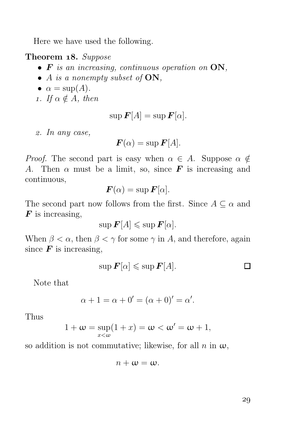Here we have used the following.

Theorem 18. Suppose

- $\bullet$  **F** is an increasing, continuous operation on  $ON$ ,
- A is a nonempty subset of  $ON$ ,
- $\alpha = \sup(A)$ .
- 1. If  $\alpha \notin A$ , then

$$
\sup \boldsymbol{F}[A] = \sup \boldsymbol{F}[\alpha].
$$

. In any case,

$$
\boldsymbol{F}(\alpha) = \sup \boldsymbol{F}[A].
$$

*Proof.* The second part is easy when  $\alpha \in A$ . Suppose  $\alpha \notin A$ A. Then  $\alpha$  must be a limit, so, since **F** is increasing and continuous,

$$
\boldsymbol{F}(\alpha) = \sup \boldsymbol{F}[\alpha].
$$

The second part now follows from the first. Since  $A \subseteq \alpha$  and  $\boldsymbol{F}$  is increasing,

$$
\sup \boldsymbol{F}[A] \leqslant \sup \boldsymbol{F}[\alpha].
$$

When  $\beta < \alpha$ , then  $\beta < \gamma$  for some  $\gamma$  in A, and therefore, again since  $\boldsymbol{F}$  is increasing,

$$
\sup \boldsymbol{F}[\alpha] \leqslant \sup \boldsymbol{F}[A]. \square
$$

Note that

$$
\alpha + 1 = \alpha + 0' = (\alpha + 0)' = \alpha'.
$$

Thus

$$
1+\omega=\sup_{x<\omega}(1+x)=\omega<\omega'=\omega+1,
$$

so addition is not commutative; likewise, for all  $n$  in  $\omega$ ,

$$
n+\omega=\omega.
$$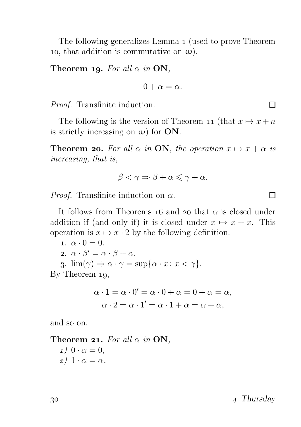The following generalizes Lemma 1 (used to prove Theorem 10, that addition is commutative on  $\omega$ ).

Theorem 19. For all  $\alpha$  in ON,

$$
0+\alpha=\alpha.
$$

Proof. Transfinite induction.

The following is the version of Theorem 11 (that  $x \mapsto x + n$ ) is strictly increasing on  $\omega$ ) for **ON**.

**Theorem 20.** For all  $\alpha$  in **ON**, the operation  $x \mapsto x + \alpha$  is increasing, that is,

$$
\beta < \gamma \Rightarrow \beta + \alpha \leqslant \gamma + \alpha.
$$

*Proof.* Transfinite induction on  $\alpha$ .

It follows from Theorems 16 and 20 that  $\alpha$  is closed under addition if (and only if) it is closed under  $x \mapsto x + x$ . This operation is  $x \mapsto x \cdot 2$  by the following definition.

1. 
$$
\alpha \cdot 0 = 0
$$
.  
2.  $\alpha \cdot \beta' = \alpha \cdot \beta + \alpha$ .

3.  $\lim(\gamma) \Rightarrow \alpha \cdot \gamma = \sup\{\alpha \cdot x : x < \gamma\}.$ 

By Theorem  $19$ ,

$$
\alpha \cdot 1 = \alpha \cdot 0' = \alpha \cdot 0 + \alpha = 0 + \alpha = \alpha,
$$
  

$$
\alpha \cdot 2 = \alpha \cdot 1' = \alpha \cdot 1 + \alpha = \alpha + \alpha,
$$

and so on.

Theorem 21. For all  $\alpha$  in ON,

 $1)$   $0 \cdot \alpha = 0$ ,  $\alpha$ ) 1 ·  $\alpha = \alpha$ .

 $30 \t\t 4 \t Thursday$ 

 $\Box$ 

 $\Box$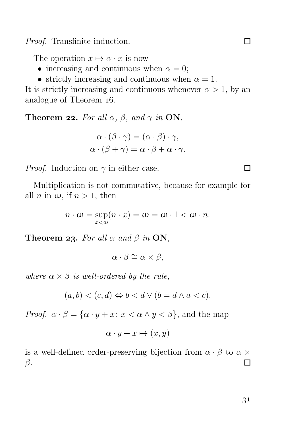Proof. Transfinite induction.

The operation  $x \mapsto \alpha \cdot x$  is now

- increasing and continuous when  $\alpha = 0$ ;
- strictly increasing and continuous when  $\alpha = 1$ .

It is strictly increasing and continuous whenever  $\alpha > 1$ , by an analogue of Theorem  $16$ .

**Theorem 22.** For all  $\alpha$ ,  $\beta$ , and  $\gamma$  in **ON**,

$$
\alpha \cdot (\beta \cdot \gamma) = (\alpha \cdot \beta) \cdot \gamma,
$$
  

$$
\alpha \cdot (\beta + \gamma) = \alpha \cdot \beta + \alpha \cdot \gamma.
$$

*Proof.* Induction on  $\gamma$  in either case.

Multiplication is not commutative, because for example for all *n* in  $\omega$ , if  $n > 1$ , then

$$
n \cdot \omega = \sup_{x < \omega} (n \cdot x) = \omega = \omega \cdot 1 < \omega \cdot n.
$$

**Theorem 23.** For all  $\alpha$  and  $\beta$  in ON,

$$
\alpha \cdot \beta \cong \alpha \times \beta,
$$

where  $\alpha \times \beta$  is well-ordered by the rule,

$$
(a,b) < (c,d) \Leftrightarrow b < d \lor (b=d \land a < c).
$$

*Proof.*  $\alpha \cdot \beta = {\alpha \cdot y + x : x < \alpha \wedge y < \beta}$ , and the map

$$
\alpha \cdot y + x \mapsto (x, y)
$$

is a well-defined order-preserving bijection from  $\alpha \cdot \beta$  to  $\alpha \times$ β. П

П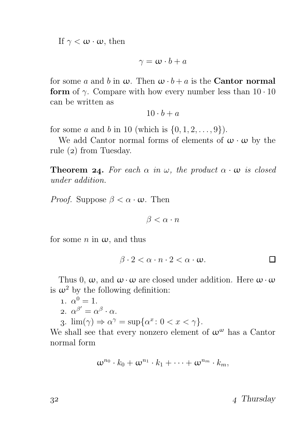If  $\gamma < \omega \cdot \omega$ , then

$$
\gamma = \omega \cdot b + a
$$

for some a and b in  $\omega$ . Then  $\omega \cdot b + a$  is the **Cantor normal** form of  $\gamma$ . Compare with how every number less than  $10 \cdot 10$ can be written as

$$
10 \cdot b + a
$$

for some *a* and *b* in 10 (which is  $\{0, 1, 2, ..., 9\}$ ).

We add Cantor normal forms of elements of  $\omega \cdot \omega$  by the rule  $(2)$  from Tuesday.

**Theorem 24.** For each  $\alpha$  in  $\omega$ , the product  $\alpha \cdot \omega$  is closed under addition.

*Proof.* Suppose  $\beta < \alpha \cdot \omega$ . Then

 $\beta < \alpha \cdot n$ 

for some n in  $\omega$ , and thus

 $\beta \cdot 2 < \alpha \cdot n \cdot 2 < \alpha \cdot \omega$ . П

Thus 0,  $\omega$ , and  $\omega \cdot \omega$  are closed under addition. Here  $\omega \cdot \omega$ is  $\omega^2$  by the following definition:

1. 
$$
\alpha^0 = 1
$$
.  
2.  $\alpha^{\beta'} = \alpha^{\beta} \cdot \alpha$ .

3.  $\lim(\gamma) \Rightarrow \alpha^{\gamma} = \sup\{\alpha^x : 0 < x < \gamma\}.$ 

We shall see that every nonzero element of  $\omega^{\omega}$  has a Cantor normal form

$$
\omega^{n_0} \cdot k_0 + \omega^{n_1} \cdot k_1 + \cdots + \omega^{n_m} \cdot k_m,
$$

 $3^2$  Thursday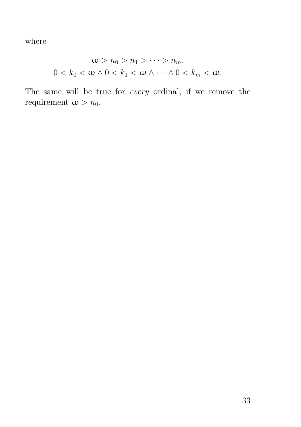where

$$
\omega > n_0 > n_1 > \cdots > n_m,
$$
  

$$
0 < k_0 < \omega \wedge 0 < k_1 < \omega \wedge \cdots \wedge 0 < k_m < \omega.
$$

The same will be true for every ordinal, if we remove the requirement  $\omega > n_0$ .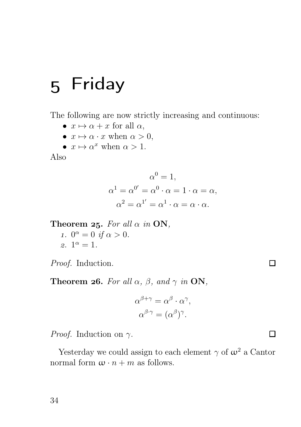# 5 Friday

The following are now strictly increasing and continuous:

- $x \mapsto \alpha + x$  for all  $\alpha$ ,
- $x \mapsto \alpha \cdot x$  when  $\alpha > 0$ ,
- $x \mapsto \alpha^x$  when  $\alpha > 1$ .

Also

$$
\alpha^{0} = 1,
$$
  
\n
$$
\alpha^{1} = \alpha^{0'} = \alpha^{0} \cdot \alpha = 1 \cdot \alpha = \alpha,
$$
  
\n
$$
\alpha^{2} = \alpha^{1'} = \alpha^{1} \cdot \alpha = \alpha \cdot \alpha.
$$

Theorem 25. For all  $\alpha$  in ON,

1.  $0^{\alpha} = 0$  if  $\alpha > 0$ .  $2. 1^{\alpha} = 1.$ 

Proof. Induction.

**Theorem 26.** For all  $\alpha$ ,  $\beta$ , and  $\gamma$  in **ON**,

$$
\alpha^{\beta+\gamma} = \alpha^{\beta} \cdot \alpha^{\gamma},
$$

$$
\alpha^{\beta \cdot \gamma} = (\alpha^{\beta})^{\gamma}.
$$

 $\Box$ 

 $\Box$ 

*Proof.* Induction on  $\gamma$ .

Yesterday we could assign to each element  $\gamma$  of  $\omega^2$  a Cantor normal form  $\omega \cdot n + m$  as follows.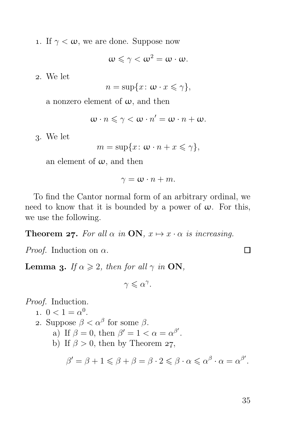1. If  $\gamma < \omega$ , we are done. Suppose now

$$
\omega\leqslant\gamma<\omega^2=\omega\cdot\omega.
$$

. We let

$$
n = \sup\{x \colon \omega \cdot x \leq \gamma\},\
$$

a nonzero element of  $\omega$ , and then

$$
\omega\cdot n\leqslant \gamma<\omega\cdot n'=\omega\cdot n+\omega.
$$

. We let

$$
m = \sup\{x \colon \omega \cdot n + x \leq \gamma\},\
$$

an element of  $\omega$ , and then

$$
\gamma = \omega \cdot n + m.
$$

To find the Cantor normal form of an arbitrary ordinal, we need to know that it is bounded by a power of  $\omega$ . For this, we use the following.

**Theorem 27.** For all  $\alpha$  in **ON**,  $x \mapsto x \cdot \alpha$  is increasing.

*Proof.* Induction on  $\alpha$ .

**Lemma 3.** If  $\alpha \geq 2$ , then for all  $\gamma$  in ON,

 $\gamma \leqslant \alpha^{\gamma}$ .

Proof. Induction.

\n- 1. 
$$
0 < 1 = \alpha^0
$$
.
\n- 2. Suppose  $\beta < \alpha^\beta$  for some  $\beta$ .
\n- a) If  $\beta = 0$ , then  $\beta' = 1 < \alpha = \alpha^{\beta'}$ .
\n- b) If  $\beta > 0$ , then by Theorem 27.
\n

$$
\beta' = \beta + 1 \leqslant \beta + \beta = \beta \cdot 2 \leqslant \beta \cdot \alpha \leqslant \alpha^{\beta} \cdot \alpha = \alpha^{\beta'}.
$$

35

 $\Box$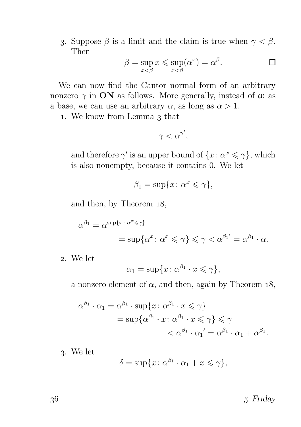3. Suppose  $\beta$  is a limit and the claim is true when  $\gamma < \beta$ . Then

$$
\beta = \sup_{x < \beta} x \le \sup_{x < \beta} (\alpha^x) = \alpha^{\beta}.
$$

We can now find the Cantor normal form of an arbitrary nonzero  $\gamma$  in **ON** as follows. More generally, instead of  $\omega$  as a base, we can use an arbitrary  $\alpha$ , as long as  $\alpha > 1$ .

1. We know from Lemma 3 that

$$
\gamma < \alpha^{\gamma'},
$$

and therefore  $\gamma'$  is an upper bound of  $\{x: \alpha^x \leq \gamma\}$ , which is also nonempty, because it contains 0. We let

$$
\beta_1 = \sup\{x \colon \alpha^x \leqslant \gamma\},\
$$

and then, by Theorem 18,

$$
\alpha^{\beta_1} = \alpha^{\sup\{x \colon \alpha^x \leq \gamma\}} \\
= \sup\{\alpha^x \colon \alpha^x \leq \gamma\} \leq \gamma < \alpha^{\beta_1'} = \alpha^{\beta_1} \cdot \alpha.
$$

. We let

$$
\alpha_1 = \sup \{ x \colon \alpha^{\beta_1} \cdot x \leq \gamma \},\
$$

a nonzero element of  $\alpha$ , and then, again by Theorem 18,

$$
\alpha^{\beta_1} \cdot \alpha_1 = \alpha^{\beta_1} \cdot \sup \{ x \colon \alpha^{\beta_1} \cdot x \leq \gamma \}
$$
  
= 
$$
\sup \{ \alpha^{\beta_1} \cdot x \colon \alpha^{\beta_1} \cdot x \leq \gamma \} \leq \gamma
$$
  
< 
$$
< \alpha^{\beta_1} \cdot \alpha_1' = \alpha^{\beta_1} \cdot \alpha_1 + \alpha^{\beta_1}.
$$

. We let

$$
\delta = \sup\{x \colon \alpha^{\beta_1} \cdot \alpha_1 + x \leq \gamma\},\
$$

 $5 \text{ Friday}$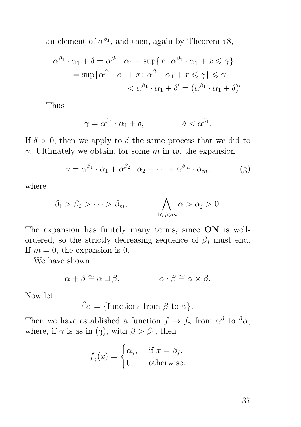an element of  $\alpha^{\beta_1}$ , and then, again by Theorem 18,

$$
\alpha^{\beta_1} \cdot \alpha_1 + \delta = \alpha^{\beta_1} \cdot \alpha_1 + \sup \{ x : \alpha^{\beta_1} \cdot \alpha_1 + x \le \gamma \}
$$
  
= 
$$
\sup \{ \alpha^{\beta_1} \cdot \alpha_1 + x : \alpha^{\beta_1} \cdot \alpha_1 + x \le \gamma \} \le \gamma
$$
  

$$
< \alpha^{\beta_1} \cdot \alpha_1 + \delta' = (\alpha^{\beta_1} \cdot \alpha_1 + \delta)'
$$
.

Thus

$$
\gamma = \alpha^{\beta_1} \cdot \alpha_1 + \delta, \qquad \qquad \delta < \alpha^{\beta_1}
$$

If  $\delta > 0$ , then we apply to  $\delta$  the same process that we did to γ. Ultimately we obtain, for some m in ω, the expansion

$$
\gamma = \alpha^{\beta_1} \cdot \alpha_1 + \alpha^{\beta_2} \cdot \alpha_2 + \dots + \alpha^{\beta_m} \cdot \alpha_m, \tag{3}
$$

.

where

$$
\beta_1 > \beta_2 > \cdots > \beta_m, \qquad \bigwedge_{1 \leq j \leq m} \alpha > \alpha_j > 0.
$$

The expansion has finitely many terms, since ON is wellordered, so the strictly decreasing sequence of  $\beta_i$  must end. If  $m = 0$ , the expansion is 0.

We have shown

$$
\alpha + \beta \cong \alpha \sqcup \beta, \qquad \alpha \cdot \beta \cong \alpha \times \beta.
$$

Now let

 $^{\beta} \alpha = \{$  functions from  $\beta$  to  $\alpha$  }.

Then we have established a function  $f \mapsto f_\gamma$  from  $\alpha^\beta$  to  $^\beta \alpha$ , where, if  $\gamma$  is as in (3), with  $\beta > \beta_1$ , then

$$
f_{\gamma}(x) = \begin{cases} \alpha_j, & \text{if } x = \beta_j, \\ 0, & \text{otherwise.} \end{cases}
$$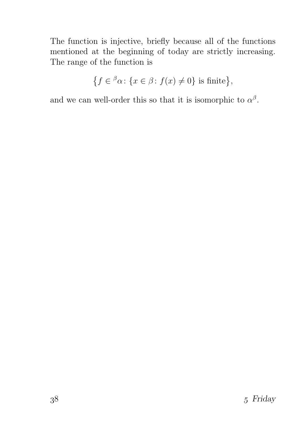The function is injective, briefly because all of the functions mentioned at the beginning of today are strictly increasing. The range of the function is

$$
\{f \in \,^{\beta}\alpha \colon \{x \in \beta \colon f(x) \neq 0\} \text{ is finite}\},
$$

and we can well-order this so that it is isomorphic to  $\alpha^{\beta}$ .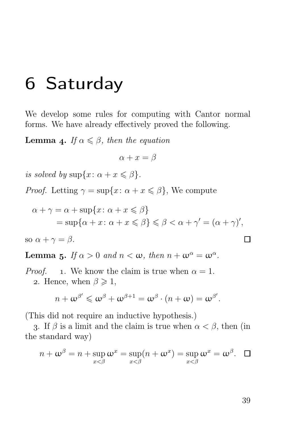### 6 Saturday

We develop some rules for computing with Cantor normal forms. We have already effectively proved the following.

**Lemma 4.** If  $\alpha \leq \beta$ , then the equation

$$
\alpha + x = \beta
$$

is solved by  $\sup\{x: \alpha + x \leq \beta\}.$ 

*Proof.* Letting  $\gamma = \sup\{x: \alpha + x \leq \beta\}$ , We compute

$$
\alpha + \gamma = \alpha + \sup\{x \colon \alpha + x \leq \beta\}
$$
  
= 
$$
\sup\{\alpha + x \colon \alpha + x \leq \beta\} \leq \beta < \alpha + \gamma' = (\alpha + \gamma)',
$$

so 
$$
\alpha + \gamma = \beta
$$
.

**Lemma 5.** If  $\alpha > 0$  and  $n < \omega$ , then  $n + \omega^{\alpha} = \omega^{\alpha}$ .

*Proof.* 1. We know the claim is true when  $\alpha = 1$ . 2. Hence, when  $\beta \geq 1$ ,

$$
n+\omega^{\beta'}\leqslant \omega^{\beta}+\omega^{\beta+1}=\omega^{\beta}\cdot (n+\omega)=\omega^{\beta'}.
$$

(This did not require an inductive hypothesis.)

3. If  $\beta$  is a limit and the claim is true when  $\alpha < \beta$ , then (in the standard way)

$$
n + \omega^{\beta} = n + \sup_{x < \beta} \omega^{x} = \sup_{x < \beta} (n + \omega^{x}) = \sup_{x < \beta} \omega^{x} = \omega^{\beta}.
$$

П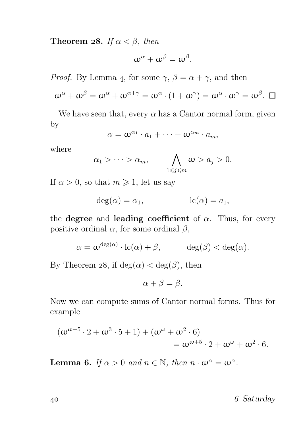**Theorem 28.** If  $\alpha < \beta$ , then

$$
\omega^{\alpha}+\omega^{\beta}=\omega^{\beta}.
$$

*Proof.* By Lemma 4, for some  $\gamma$ ,  $\beta = \alpha + \gamma$ , and then

$$
\omega^{\alpha} + \omega^{\beta} = \omega^{\alpha} + \omega^{\alpha + \gamma} = \omega^{\alpha} \cdot (1 + \omega^{\gamma}) = \omega^{\alpha} \cdot \omega^{\gamma} = \omega^{\beta}. \ \ \Box
$$

We have seen that, every  $\alpha$  has a Cantor normal form, given by

$$
\alpha = \omega^{\alpha_1} \cdot a_1 + \cdots + \omega^{\alpha_m} \cdot a_m,
$$

where

$$
\alpha_1 > \cdots > \alpha_m, \qquad \bigwedge_{1 \leq j \leq m} \omega > a_j > 0.
$$

If  $\alpha > 0$ , so that  $m \geq 1$ , let us say

$$
\deg(\alpha) = \alpha_1, \qquad \qquad lc(\alpha) = a_1,
$$

the degree and leading coefficient of  $\alpha$ . Thus, for every positive ordinal  $\alpha$ , for some ordinal  $\beta$ ,

$$
\alpha = \omega^{\deg(\alpha)} \cdot \mathrm{lc}(\alpha) + \beta, \quad \deg(\beta) < \deg(\alpha).
$$

By Theorem 28, if  $deg(\alpha) < deg(\beta)$ , then

$$
\alpha + \beta = \beta.
$$

Now we can compute sums of Cantor normal forms. Thus for example

$$
(\omega^{\omega+5} \cdot 2 + \omega^3 \cdot 5 + 1) + (\omega^{\omega} + \omega^2 \cdot 6)
$$
  
=  $\omega^{\omega+5} \cdot 2 + \omega^{\omega} + \omega^2 \cdot 6$ .

**Lemma 6.** If  $\alpha > 0$  and  $n \in \mathbb{N}$ , then  $n \cdot \omega^{\alpha} = \omega^{\alpha}$ .

40 6 Saturday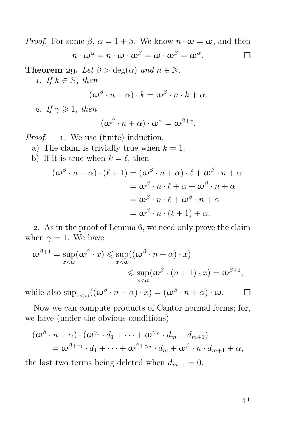*Proof.* For some  $\beta$ ,  $\alpha = 1 + \beta$ . We know  $n \cdot \omega = \omega$ , and then  $n\cdot\omega^\alpha=n\cdot\omega\cdot\omega^\beta=\omega\cdot\omega^\beta=\omega^\alpha.$ П **Theorem 29.** Let  $\beta > \deg(\alpha)$  and  $n \in \mathbb{N}$ . 1. If  $k \in \mathbb{N}$ , then

$$
(\omega^{\beta} \cdot n + \alpha) \cdot k = \omega^{\beta} \cdot n \cdot k + \alpha.
$$

2. If  $\gamma \geqslant 1$ , then

$$
(\omega^{\beta}\cdot n+\alpha)\cdot \omega^{\gamma}=\omega^{\beta+\gamma}.
$$

*Proof.* 1. We use (finite) induction.

- a) The claim is trivially true when  $k = 1$ .
- b) If it is true when  $k = \ell$ , then

$$
(\omega^{\beta} \cdot n + \alpha) \cdot (\ell + 1) = (\omega^{\beta} \cdot n + \alpha) \cdot \ell + \omega^{\beta} \cdot n + \alpha
$$
  

$$
= \omega^{\beta} \cdot n \cdot \ell + \alpha + \omega^{\beta} \cdot n + \alpha
$$
  

$$
= \omega^{\beta} \cdot n \cdot \ell + \omega^{\beta} \cdot n + \alpha
$$
  

$$
= \omega^{\beta} \cdot n \cdot (\ell + 1) + \alpha.
$$

2. As in the proof of Lemma 6, we need only prove the claim when  $\gamma = 1$ . We have

$$
\omega^{\beta+1} = \sup_{x < \omega} (\omega^{\beta} \cdot x) \le \sup_{x < \omega} ((\omega^{\beta} \cdot n + \alpha) \cdot x)
$$
  

$$
\le \sup_{x < \omega} (\omega^{\beta} \cdot (n + 1) \cdot x) = \omega^{\beta+1},
$$

while also  $\sup_{x<\omega}((\omega^\beta \cdot n+\alpha)\cdot x)=(\omega^\beta \cdot n+\alpha)\cdot \omega$ .

Now we can compute products of Cantor normal forms; for, we have (under the obvious conditions)

$$
(\omega^{\beta} \cdot n + \alpha) \cdot (\omega^{\gamma_1} \cdot d_1 + \dots + \omega^{\gamma_m} \cdot d_m + d_{m+1})
$$
  
=  $\omega^{\beta + \gamma_1} \cdot d_1 + \dots + \omega^{\beta + \gamma_m} \cdot d_m + \omega^{\beta} \cdot n \cdot d_{m+1} + \alpha,$ 

the last two terms being deleted when  $d_{m+1} = 0$ .

41

П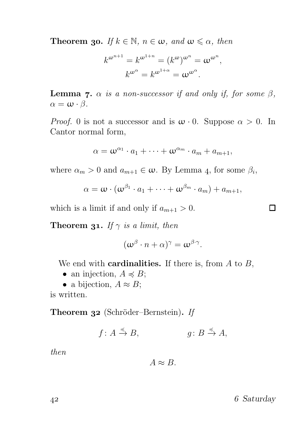**Theorem 30.** If  $k \in \mathbb{N}$ ,  $n \in \omega$ , and  $\omega \leq \alpha$ , then

$$
k^{\omega^{n+1}} = k^{\omega^{1+n}} = (k^{\omega})^{\omega^n} = \omega^{\omega^n},
$$

$$
k^{\omega^{\alpha}} = k^{\omega^{1+\alpha}} = \omega^{\omega^{\alpha}}.
$$

**Lemma 7.**  $\alpha$  is a non-successor if and only if, for some  $\beta$ ,  $\alpha = \omega \cdot \beta$ .

*Proof.* 0 is not a successor and is  $\omega \cdot 0$ . Suppose  $\alpha > 0$ . In Cantor normal form,

$$
\alpha = \omega^{\alpha_1} \cdot a_1 + \cdots + \omega^{\alpha_m} \cdot a_m + a_{m+1},
$$

where  $\alpha_m > 0$  and  $a_{m+1} \in \omega$ . By Lemma 4, for some  $\beta_i$ ,

$$
\alpha = \boldsymbol{\omega} \cdot (\boldsymbol{\omega}^{\beta_1} \cdot a_1 + \cdots + \boldsymbol{\omega}^{\beta_m} \cdot a_m) + a_{m+1},
$$

which is a limit if and only if  $a_{m+1} > 0$ .

**Theorem 31.** If  $\gamma$  is a limit, then

$$
(\omega^{\beta}\cdot n+\alpha)^{\gamma}=\omega^{\beta\cdot\gamma}.
$$

We end with **cardinalities.** If there is, from  $A$  to  $B$ ,

- an injection,  $A \preccurlyeq B$ ;
- a bijection,  $A \approx B$ ;

is written.

Theorem 32 (Schröder–Bernstein). If

$$
f: A \xrightarrow{\preccurlyeq} B, \qquad \qquad g: B \xrightarrow{\preccurlyeq} A,
$$

then

 $A \approx B$ .

42 6 Saturday

 $\Box$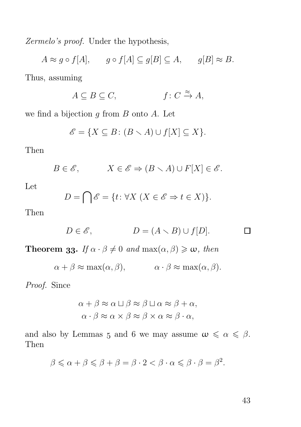Zermelo's proof. Under the hypothesis,

 $A \approx g \circ f[A], \quad g \circ f[A] \subseteq g[B] \subseteq A, \quad g[B] \approx B.$ Thus, assuming

$$
A \subseteq B \subseteq C, \qquad f: C \xrightarrow{\approx} A,
$$

we find a bijection  $g$  from  $B$  onto  $A$ . Let

$$
\mathscr{E} = \{ X \subseteq B \colon (B \setminus A) \cup f[X] \subseteq X \}.
$$

Then

$$
B\in \mathscr{E}, \hspace{1cm} X\in \mathscr{E} \Rightarrow (B\smallsetminus A)\cup F[X]\in \mathscr{E}.
$$

Let

$$
D = \bigcap \mathscr{E} = \{t \colon \forall X \ (X \in \mathscr{E} \Rightarrow t \in X)\}.
$$

Then

$$
D \in \mathscr{E}, \qquad D = (A \setminus B) \cup f[D]. \qquad \Box
$$

**Theorem 33.** If  $\alpha \cdot \beta \neq 0$  and  $\max(\alpha, \beta) \geq \omega$ , then

$$
\alpha + \beta \approx \max(\alpha, \beta), \qquad \alpha \cdot \beta \approx \max(\alpha, \beta).
$$

Proof. Since

$$
\alpha + \beta \approx \alpha \sqcup \beta \approx \beta \sqcup \alpha \approx \beta + \alpha,
$$
  

$$
\alpha \cdot \beta \approx \alpha \times \beta \approx \beta \times \alpha \approx \beta \cdot \alpha,
$$

and also by Lemmas 5 and 6 we may assume  $\omega \leq \alpha \leq \beta$ . Then

$$
\beta \leq \alpha + \beta \leq \beta + \beta = \beta \cdot 2 < \beta \cdot \alpha \leq \beta \cdot \beta = \beta^2.
$$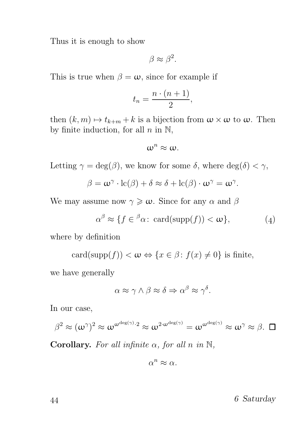Thus it is enough to show

$$
\beta \approx \beta^2.
$$

This is true when  $\beta = \omega$ , since for example if

$$
t_n = \frac{n \cdot (n+1)}{2},
$$

then  $(k, m) \mapsto t_{k+m} + k$  is a bijection from  $\omega \times \omega$  to  $\omega$ . Then by finite induction, for all  $n$  in  $\mathbb{N}$ ,

$$
\omega^n \approx \omega.
$$

Letting  $\gamma = \deg(\beta)$ , we know for some  $\delta$ , where  $\deg(\delta) < \gamma$ ,

$$
\beta = \boldsymbol{\omega}^{\gamma} \cdot \mathrm{lc}(\beta) + \delta \approx \delta + \mathrm{lc}(\beta) \cdot \boldsymbol{\omega}^{\gamma} = \boldsymbol{\omega}^{\gamma}.
$$

We may assume now  $\gamma \geq \omega$ . Since for any  $\alpha$  and  $\beta$ 

$$
\alpha^{\beta} \approx \{ f \in {}^{\beta} \alpha \colon \operatorname{card}(\operatorname{supp}(f)) < \omega \},\tag{4}
$$

where by definition

$$
card(supp(f)) < \omega \Leftrightarrow \{x \in \beta \colon f(x) \neq 0\} \text{ is finite},
$$

we have generally

$$
\alpha \approx \gamma \wedge \beta \approx \delta \Rightarrow \alpha^{\beta} \approx \gamma^{\delta}.
$$

In our case,

$$
\beta^2 \approx (\omega^\gamma)^2 \approx \omega^{\omega^{\deg(\gamma)}\cdot 2} \approx \omega^{2\cdot \omega^{\deg(\gamma)}} = \omega^{\omega^{\deg(\gamma)}} \approx \omega^\gamma \approx \beta.
$$

Corollary. For all infinite  $\alpha$ , for all n in N,

$$
\alpha^n \approx \alpha.
$$

44 6 Saturday